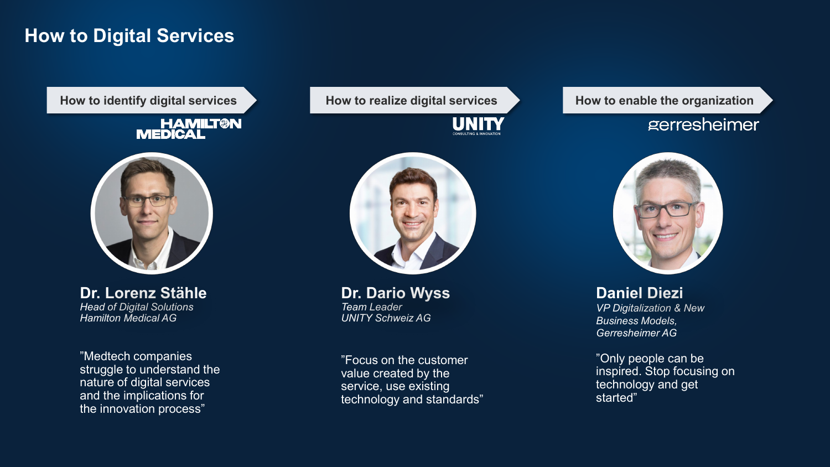## **How to Digital Services**

#### **HAMILT®N MEDICAL**



**Dr. Lorenz Stähle** *Head of Digital Solutions Hamilton Medical AG*

"Medtech companies struggle to understand the nature of digital services and the implications for the innovation process"





**Dr. Dario Wyss** *Team Leader UNITY Schweiz AG*

"Focus on the customer value created by the service, use existing technology and standards"

### How to identify digital services **Analyzis in the How to realize digital services Analyzis How to enable the organization**

## gerresheimer



**Daniel Diezi** *VP Digitalization & New Business Models, Gerresheimer AG* 

"Only people can be inspired. Stop focusing on technology and get started"